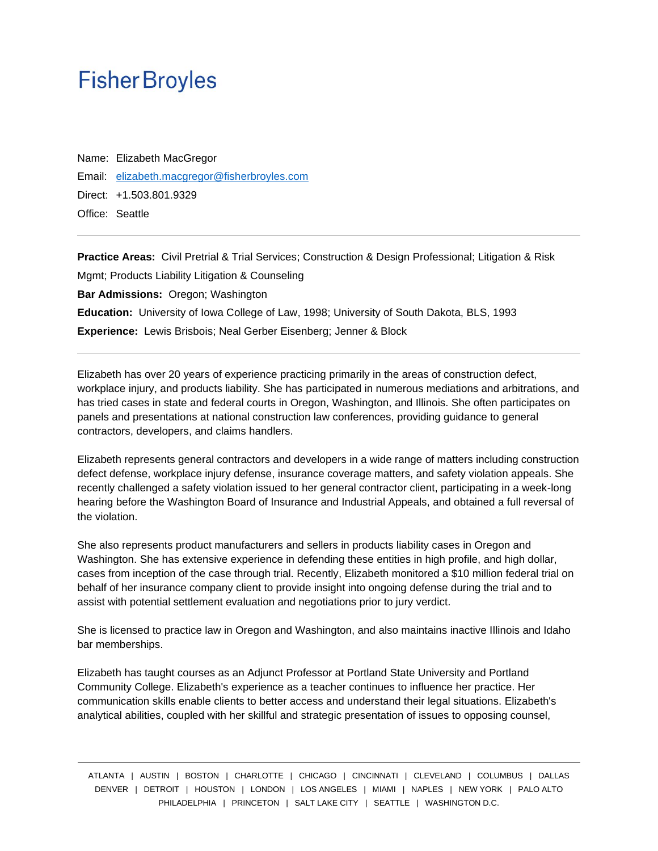## **Fisher Broyles**

Name: Elizabeth MacGregor Email: [elizabeth.macgregor@fisherbroyles.com](mailto:elizabeth.macgregor@fisherbroyles.com) Direct: +1.503.801.9329 Office: Seattle

**Practice Areas:** Civil Pretrial & Trial Services; Construction & Design Professional; Litigation & Risk Mgmt; Products Liability Litigation & Counseling **Bar Admissions:** Oregon; Washington **Education:** University of Iowa College of Law, 1998; University of South Dakota, BLS, 1993 **Experience:** Lewis Brisbois; Neal Gerber Eisenberg; Jenner & Block

Elizabeth has over 20 years of experience practicing primarily in the areas of construction defect, workplace injury, and products liability. She has participated in numerous mediations and arbitrations, and has tried cases in state and federal courts in Oregon, Washington, and Illinois. She often participates on panels and presentations at national construction law conferences, providing guidance to general contractors, developers, and claims handlers.

Elizabeth represents general contractors and developers in a wide range of matters including construction defect defense, workplace injury defense, insurance coverage matters, and safety violation appeals. She recently challenged a safety violation issued to her general contractor client, participating in a week-long hearing before the Washington Board of Insurance and Industrial Appeals, and obtained a full reversal of the violation.

She also represents product manufacturers and sellers in products liability cases in Oregon and Washington. She has extensive experience in defending these entities in high profile, and high dollar, cases from inception of the case through trial. Recently, Elizabeth monitored a \$10 million federal trial on behalf of her insurance company client to provide insight into ongoing defense during the trial and to assist with potential settlement evaluation and negotiations prior to jury verdict.

She is licensed to practice law in Oregon and Washington, and also maintains inactive Illinois and Idaho bar memberships.

Elizabeth has taught courses as an Adjunct Professor at Portland State University and Portland Community College. Elizabeth's experience as a teacher continues to influence her practice. Her communication skills enable clients to better access and understand their legal situations. Elizabeth's analytical abilities, coupled with her skillful and strategic presentation of issues to opposing counsel,

ATLANTA | AUSTIN | BOSTON | CHARLOTTE | CHICAGO | CINCINNATI | CLEVELAND | COLUMBUS | DALLAS DENVER | DETROIT | HOUSTON | LONDON | LOS ANGELES | MIAMI | NAPLES | NEW YORK | PALO ALTO PHILADELPHIA | PRINCETON | SALT LAKE CITY | SEATTLE | WASHINGTON D.C.